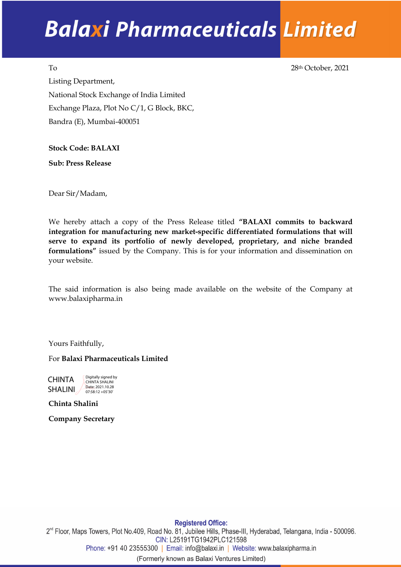## **Balaxi Pharmaceuticals Limited**

To 28th October, 2021 Listing Department, National Stock Exchange of India Limited Exchange Plaza, Plot No C/1, G Block, BKC, Bandra (E), Mumbai-400051

**Stock Code: BALAXI** 

**Sub: Press Release** 

Dear Sir/Madam,

We hereby attach a copy of the Press Release titled **"BALAXI commits to backward integration for manufacturing new market-specific differentiated formulations that will serve to expand its portfolio of newly developed, proprietary, and niche branded formulations"** issued by the Company. This is for your information and dissemination on your website.

The said information is also being made available on the website of the Company at www.balaxipharma.in

Yours Faithfully,

For **Balaxi Pharmaceuticals Limited**

CHINTA SHALINI<sub>/</sub> Digitally signed by CHINTA SHALINI Date: 2021.10.28 07:58:12 +05'30'

**Chinta Shalini**

**Company Secretary**

**Registered Office:** 2<sup>nd</sup> Floor, Maps Towers, Plot No.409, Road No. 81, Jubilee Hills, Phase-III, Hyderabad, Telangana, India - 500096. CIN: L25191TG1942PLC121598 Phone: +91 40 23555300 | Email: info@balaxi.in | Website: www.balaxipharma.in (Formerly known as Balaxi Ventures Limited)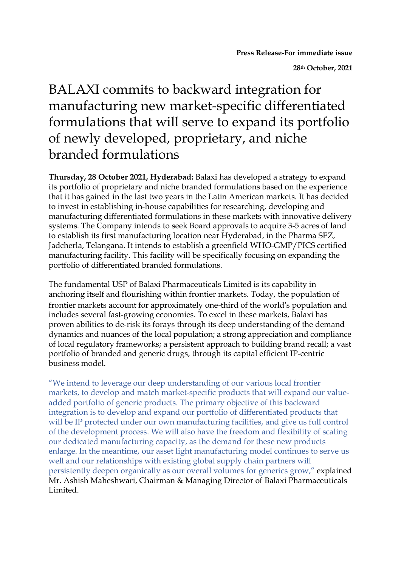**28th October, 2021**

## BALAXI commits to backward integration for manufacturing new market-specific differentiated formulations that will serve to expand its portfolio of newly developed, proprietary, and niche branded formulations

**Thursday, 28 October 2021, Hyderabad:** Balaxi has developed a strategy to expand its portfolio of proprietary and niche branded formulations based on the experience that it has gained in the last two years in the Latin American markets. It has decided to invest in establishing in-house capabilities for researching, developing and manufacturing differentiated formulations in these markets with innovative delivery systems. The Company intends to seek Board approvals to acquire 3-5 acres of land to establish its first manufacturing location near Hyderabad, in the Pharma SEZ, Jadcherla, Telangana. It intends to establish a greenfield WHO-GMP/PICS certified manufacturing facility. This facility will be specifically focusing on expanding the portfolio of differentiated branded formulations.

The fundamental USP of Balaxi Pharmaceuticals Limited is its capability in anchoring itself and flourishing within frontier markets. Today, the population of frontier markets account for approximately one-third of the world's population and includes several fast-growing economies. To excel in these markets, Balaxi has proven abilities to de-risk its forays through its deep understanding of the demand dynamics and nuances of the local population; a strong appreciation and compliance of local regulatory frameworks; a persistent approach to building brand recall; a vast portfolio of branded and generic drugs, through its capital efficient IP-centric business model.

"We intend to leverage our deep understanding of our various local frontier markets, to develop and match market-specific products that will expand our valueadded portfolio of generic products. The primary objective of this backward integration is to develop and expand our portfolio of differentiated products that will be IP protected under our own manufacturing facilities, and give us full control of the development process. We will also have the freedom and flexibility of scaling our dedicated manufacturing capacity, as the demand for these new products enlarge. In the meantime, our asset light manufacturing model continues to serve us well and our relationships with existing global supply chain partners will persistently deepen organically as our overall volumes for generics grow," explained Mr. Ashish Maheshwari, Chairman & Managing Director of Balaxi Pharmaceuticals Limited.